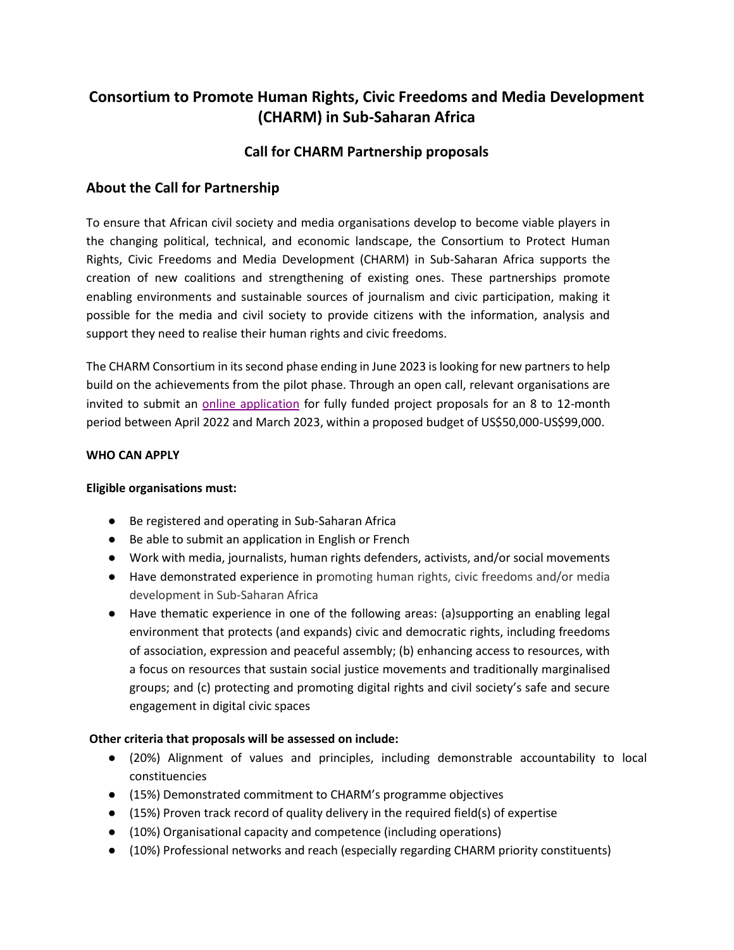# **Consortium to Promote Human Rights, Civic Freedoms and Media Development (CHARM) in Sub-Saharan Africa**

# **Call for CHARM Partnership proposals**

## **About the Call for Partnership**

To ensure that African civil society and media organisations develop to become viable players in the changing political, technical, and economic landscape, the Consortium to Protect Human Rights, Civic Freedoms and Media Development (CHARM) in Sub-Saharan Africa supports the creation of new coalitions and strengthening of existing ones. These partnerships promote enabling environments and sustainable sources of journalism and civic participation, making it possible for the media and civil society to provide citizens with the information, analysis and support they need to realise their human rights and civic freedoms.

The CHARM Consortium in its second phase ending in June 2023 is looking for new partners to help build on the achievements from the pilot phase. Through an open call, relevant organisations are invited to submit an [online application](https://app.smartsheet.com/b/form/e9d12a93348d4081bfe6c7b37154a6bd) for fully funded project proposals for an 8 to 12-month period between April 2022 and March 2023, within a proposed budget of US\$50,000-US\$99,000.

#### **WHO CAN APPLY**

#### **Eligible organisations must:**

- Be registered and operating in Sub-Saharan Africa
- Be able to submit an application in English or French
- Work with media, journalists, human rights defenders, activists, and/or social movements
- Have demonstrated experience in promoting human rights, civic freedoms and/or media development in Sub-Saharan Africa
- Have thematic experience in one of the following areas: (a)supporting an enabling legal environment that protects (and expands) civic and democratic rights, including freedoms of association, expression and peaceful assembly; (b) enhancing access to resources, with a focus on resources that sustain social justice movements and traditionally marginalised groups; and (c) protecting and promoting digital rights and civil society's safe and secure engagement in digital civic spaces

## **Other criteria that proposals will be assessed on include:**

- (20%) Alignment of values and principles, including demonstrable accountability to local constituencies
- (15%) Demonstrated commitment to CHARM's programme objectives
- $\bullet$  (15%) Proven track record of quality delivery in the required field(s) of expertise
- (10%) Organisational capacity and competence (including operations)
- (10%) Professional networks and reach (especially regarding CHARM priority constituents)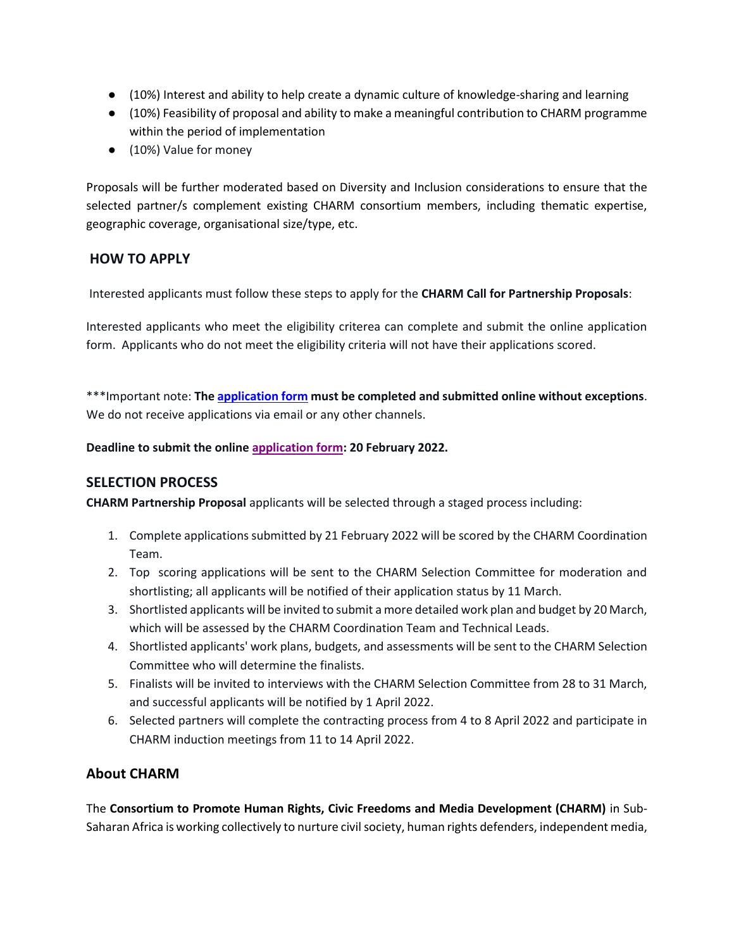- (10%) Interest and ability to help create a dynamic culture of knowledge-sharing and learning
- (10%) Feasibility of proposal and ability to make a meaningful contribution to CHARM programme within the period of implementation
- (10%) Value for money

Proposals will be further moderated based on Diversity and Inclusion considerations to ensure that the selected partner/s complement existing CHARM consortium members, including thematic expertise, geographic coverage, organisational size/type, etc.

## **HOW TO APPLY**

Interested applicants must follow these steps to apply for the **CHARM Call for Partnership Proposals**:

Interested applicants who meet the eligibility criterea can complete and submit the online application form. Applicants who do not meet the eligibility criteria will not have their applications scored.

\*\*\*Important note: **Th[e application form](https://app.smartsheet.com/b/form/e9d12a93348d4081bfe6c7b37154a6bd) must be completed and submitted online without exceptions**. We do not receive applications via email or any other channels.

**Deadline to submit the online [application form:](https://app.smartsheet.com/b/form/e9d12a93348d4081bfe6c7b37154a6bd) 20 February 2022.**

## **SELECTION PROCESS**

**CHARM Partnership Proposal** applicants will be selected through a staged process including:

- 1. Complete applications submitted by 21 February 2022 will be scored by the CHARM Coordination Team.
- 2. Top scoring applications will be sent to the CHARM Selection Committee for moderation and shortlisting; all applicants will be notified of their application status by 11 March.
- 3. Shortlisted applicants will be invited to submit a more detailed work plan and budget by 20 March, which will be assessed by the CHARM Coordination Team and Technical Leads.
- 4. Shortlisted applicants' work plans, budgets, and assessments will be sent to the CHARM Selection Committee who will determine the finalists.
- 5. Finalists will be invited to interviews with the CHARM Selection Committee from 28 to 31 March, and successful applicants will be notified by 1 April 2022.
- 6. Selected partners will complete the contracting process from 4 to 8 April 2022 and participate in CHARM induction meetings from 11 to 14 April 2022.

## **About CHARM**

The **Consortium to Promote Human Rights, Civic Freedoms and Media Development (CHARM)** in Sub-Saharan Africa is working collectively to nurture civil society, human rights defenders, independent media,